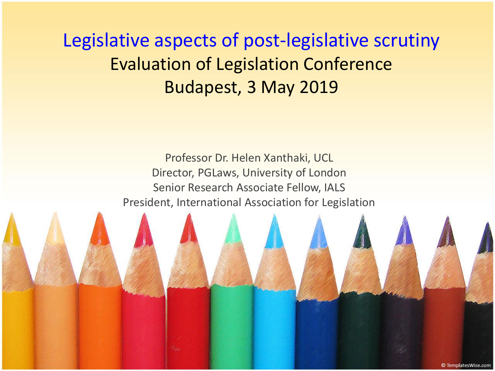Legislative aspects of post-legislative scrutiny Evaluation of Legislation Conference Budapest, 3 May 2019

> Professor Dr. Helen Xanthaki, UCL Director, PGLaws, University of London Senior Research Associate Fellow, IALS President, International Association for Legislation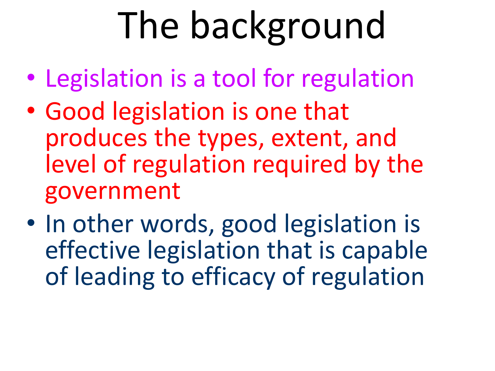# The background

- Legislation is a tool for regulation
- Good legislation is one that produces the types, extent, and level of regulation required by the government
- In other words, good legislation is effective legislation that is capable of leading to efficacy of regulation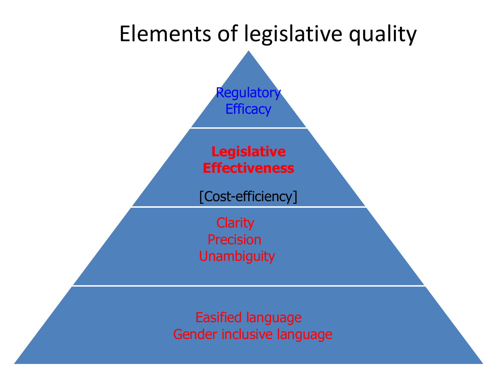

Easified language Gender inclusive language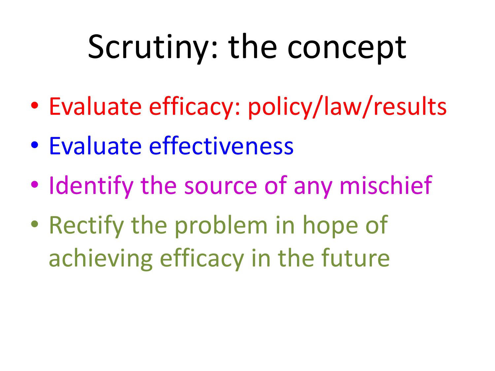## Scrutiny: the concept

- Evaluate efficacy: policy/law/results
- Evaluate effectiveness
- Identify the source of any mischief
- Rectify the problem in hope of achieving efficacy in the future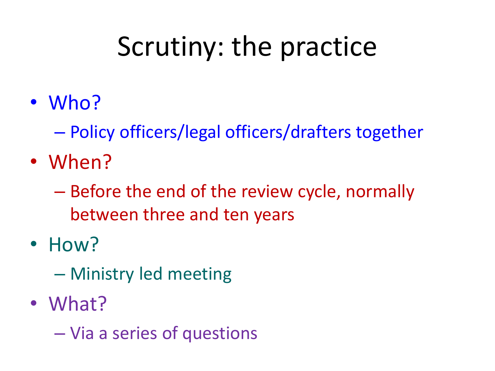### Scrutiny: the practice

- Who?
	- Policy officers/legal officers/drafters together
- When?
	- Before the end of the review cycle, normally between three and ten years
- How?
	- Ministry led meeting
- What?
	- Via a series of questions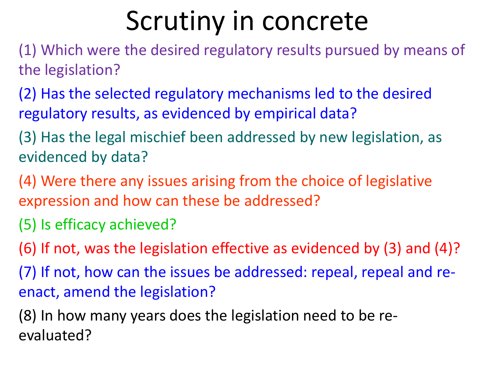#### Scrutiny in concrete

- (1) Which were the desired regulatory results pursued by means of the legislation?
- (2) Has the selected regulatory mechanisms led to the desired regulatory results, as evidenced by empirical data?
- (3) Has the legal mischief been addressed by new legislation, as evidenced by data?
- (4) Were there any issues arising from the choice of legislative expression and how can these be addressed?
- (5) Is efficacy achieved?
- (6) If not, was the legislation effective as evidenced by (3) and (4)?
- (7) If not, how can the issues be addressed: repeal, repeal and reenact, amend the legislation?
- (8) In how many years does the legislation need to be reevaluated?